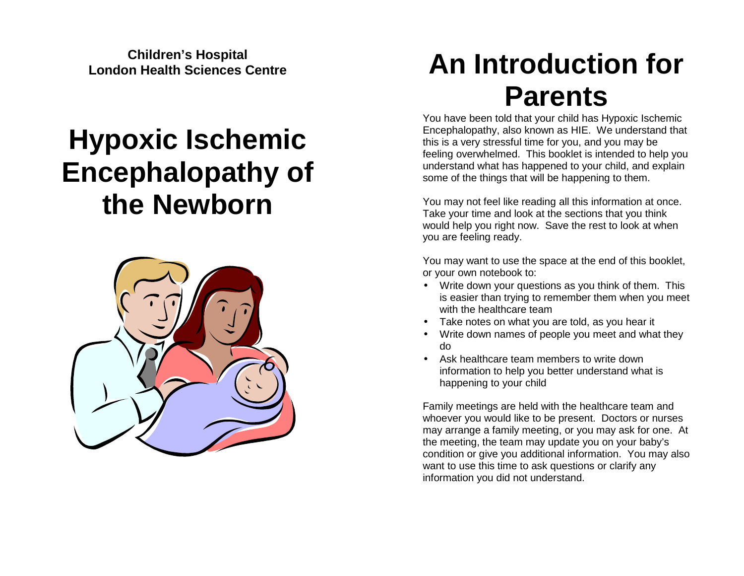**Children's Hospital London Health Sciences Centre** 

# **Hypoxic Ischemic Encephalopathy of the Newborn**



# **An Introduction for Parents**

 You have been told that your child has Hypoxic Ischemic Encephalopathy, also known as HIE. We understand that this is a very stressful time for you, and you may be feeling overwhelmed. This booklet is intended to help you understand what has happened to your child, and explain some of the things that will be happening to them.

You may not feel like reading all this information at once. Take your time and look at the sections that you think would help you right now. Save the rest to look at when you are feeling ready.

You may want to use the space at the end of this booklet, or your own notebook to:

- Write down your questions as you think of them. This is easier than trying to remember them when you meet with the healthcare team
- Take notes on what you are told, as you hear it
- Write down names of people you meet and what they do
- Ask healthcare team members to write down information to help you better understand what is happening to your child

Family meetings are held with the healthcare team and whoever you would like to be present. Doctors or nurses may arrange a family meeting, or you may ask for one. At the meeting, the team may update you on your baby's condition or give you additional information. You may also want to use this time to ask questions or clarify any information you did not understand.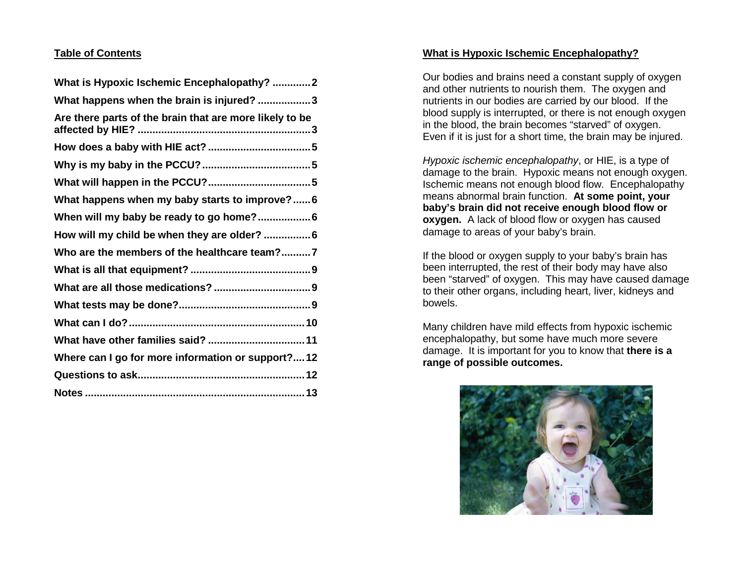# **Table of Contents**

| What is Hypoxic Ischemic Encephalopathy? 2              |
|---------------------------------------------------------|
| What happens when the brain is injured? 3               |
| Are there parts of the brain that are more likely to be |
|                                                         |
|                                                         |
|                                                         |
| What happens when my baby starts to improve? 6          |
| When will my baby be ready to go home? 6                |
| How will my child be when they are older?  6            |
| Who are the members of the healthcare team?7            |
|                                                         |
|                                                         |
|                                                         |
|                                                         |
| What have other families said?  11                      |
| Where can I go for more information or support?12       |
|                                                         |
|                                                         |

# **What is Hypoxic Ischemic Encephalopathy?**

Our bodies and brains need a constant supply of oxygen and other nutrients to nourish them. The oxygen and nutrients in our bodies are carried by our blood. If the blood supply is interrupted, or there is not enough oxygen in the blood, the brain becomes "starved" of oxygen. Even if it is just for a short time, the brain may be injured.

Hypoxic ischemic encephalopathy, or HIE, is a type of damage to the brain. Hypoxic means not enough oxygen. Ischemic means not enough blood flow. Encephalopathy means abnormal brain function. **At some point, your baby's brain did not receive enough blood flow or oxygen.** A lack of blood flow or oxygen has caused damage to areas of your baby's brain.

If the blood or oxygen supply to your baby's brain has been interrupted, the rest of their body may have also been "starved" of oxygen. This may have caused damage to their other organs, including heart, liver, kidneys and bowels.

Many children have mild effects from hypoxic ischemic encephalopathy, but some have much more severe damage. It is important for you to know that **there is a range of possible outcomes.**

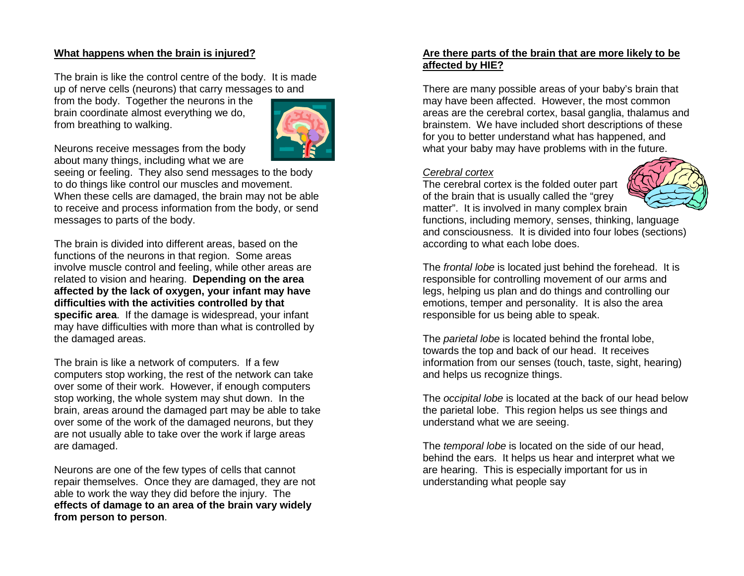#### **What happens when the brain is injured?**

The brain is like the control centre of the body. It is made up of nerve cells (neurons) that carry messages to and

from the body. Together the neurons in the brain coordinate almost everything we do, from breathing to walking.



Neurons receive messages from the body about many things, including what we are

 seeing or feeling. They also send messages to the body to do things like control our muscles and movement. When these cells are damaged, the brain may not be able to receive and process information from the body, or send messages to parts of the body.

The brain is divided into different areas, based on the functions of the neurons in that region. Some areas involve muscle control and feeling, while other areas are related to vision and hearing. **Depending on the area affected by the lack of oxygen, your infant may have difficulties with the activities controlled by that specific area**. If the damage is widespread, your infant may have difficulties with more than what is controlled by the damaged areas.

The brain is like a network of computers. If a few computers stop working, the rest of the network can take over some of their work. However, if enough computers stop working, the whole system may shut down. In the brain, areas around the damaged part may be able to take over some of the work of the damaged neurons, but they are not usually able to take over the work if large areas are damaged.

Neurons are one of the few types of cells that cannot repair themselves. Once they are damaged, they are not able to work the way they did before the injury. The **effects of damage to an area of the brain vary widely from person to person**.

#### **Are there parts of the brain that are more likely to be affected by HIE?**

There are many possible areas of your baby's brain that may have been affected. However, the most common areas are the cerebral cortex, basal ganglia, thalamus and brainstem. We have included short descriptions of these for you to better understand what has happened, andwhat your baby may have problems with in the future.

#### Cerebral cortex

 The cerebral cortex is the folded outer part of the brain that is usually called the "grey matter". It is involved in many complex brain



 functions, including memory, senses, thinking, language and consciousness. It is divided into four lobes (sections) according to what each lobe does.

The frontal lobe is located just behind the forehead. It is responsible for controlling movement of our arms and legs, helping us plan and do things and controlling our emotions, temper and personality. It is also the area responsible for us being able to speak.

The *parietal lobe* is located behind the frontal lobe, towards the top and back of our head. It receives information from our senses (touch, taste, sight, hearing) and helps us recognize things.

The occipital lobe is located at the back of our head below the parietal lobe. This region helps us see things and understand what we are seeing.

The *temporal lobe* is located on the side of our head, behind the ears. It helps us hear and interpret what we are hearing. This is especially important for us in understanding what people say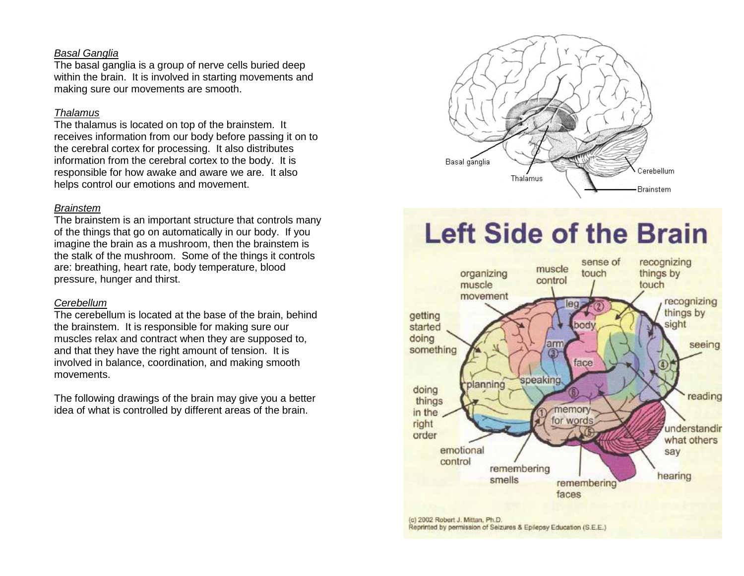#### Basal Ganglia

 The basal ganglia is a group of nerve cells buried deep within the brain. It is involved in starting movements and making sure our movements are smooth.

#### **Thalamus**

 The thalamus is located on top of the brainstem. It receives information from our body before passing it on to the cerebral cortex for processing. It also distributes information from the cerebral cortex to the body. It is responsible for how awake and aware we are. It also helps control our emotions and movement.

#### Brainstem

 The brainstem is an important structure that controls many of the things that go on automatically in our body. If you imagine the brain as a mushroom, then the brainstem is the stalk of the mushroom. Some of the things it controls are: breathing, heart rate, body temperature, bloodpressure, hunger and thirst.

#### Cerebellum

 The cerebellum is located at the base of the brain, behind the brainstem. It is responsible for making sure our muscles relax and contract when they are supposed to, and that they have the right amount of tension. It is involved in balance, coordination, and making smooth movements.

The following drawings of the brain may give you a better idea of what is controlled by different areas of the brain.



# **Left Side of the Brain**

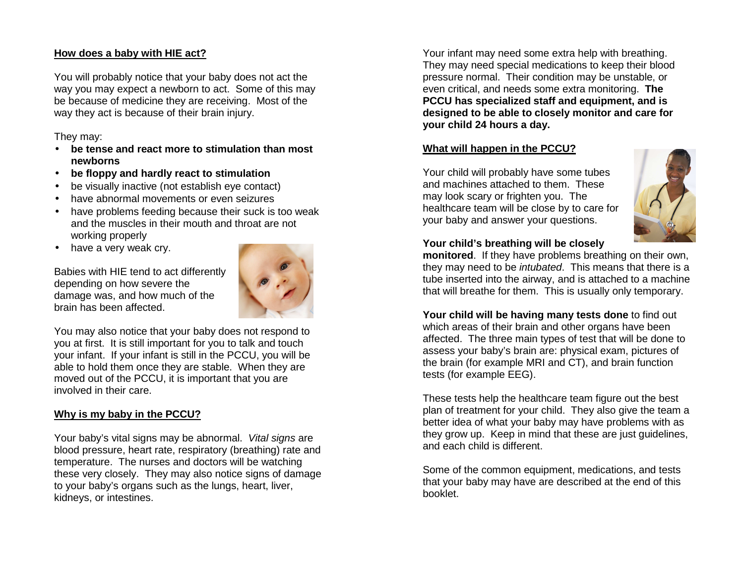#### **How does a baby with HIE act?**

You will probably notice that your baby does not act the way you may expect a newborn to act. Some of this may be because of medicine they are receiving. Most of the way they act is because of their brain injury.

#### They may:

- **be tense and react more to stimulation than most newborns**
- **be floppy and hardly react to stimulation**
- be visually inactive (not establish eye contact)
- have abnormal movements or even seizures
- have problems feeding because their suck is too weak and the muscles in their mouth and throat are not working properly
- have a very weak cry.

Babies with HIE tend to act differently depending on how severe the damage was, and how much of the brain has been affected.



You may also notice that your baby does not respond to you at first. It is still important for you to talk and touch your infant. If your infant is still in the PCCU, you will be able to hold them once they are stable. When they are moved out of the PCCU, it is important that you areinvolved in their care.

# **Why is my baby in the PCCU?**

Your baby's vital signs may be abnormal. Vital signs are blood pressure, heart rate, respiratory (breathing) rate and temperature. The nurses and doctors will be watching these very closely. They may also notice signs of damage to your baby's organs such as the lungs, heart, liver, kidneys, or intestines.

Your infant may need some extra help with breathing. They may need special medications to keep their blood pressure normal. Their condition may be unstable, or even critical, and needs some extra monitoring. **The PCCU has specialized staff and equipment, and is designed to be able to closely monitor and care foryour child 24 hours a day.** 

# **What will happen in the PCCU?**

Your child will probably have some tubes and machines attached to them. These may look scary or frighten you. The healthcare team will be close by to care for your baby and answer your questions.



# **Your child's breathing will be closely**

 **monitored**. If they have problems breathing on their own, they may need to be *intubated*. This means that there is a tube inserted into the airway, and is attached to a machine that will breathe for them. This is usually only temporary.

**Your child will be having many tests done** to find out which areas of their brain and other organs have been affected. The three main types of test that will be done to assess your baby's brain are: physical exam, pictures of the brain (for example MRI and CT), and brain function tests (for example EEG).

These tests help the healthcare team figure out the best plan of treatment for your child. They also give the team a better idea of what your baby may have problems with as they grow up. Keep in mind that these are just guidelines, and each child is different.

Some of the common equipment, medications, and tests that your baby may have are described at the end of this booklet.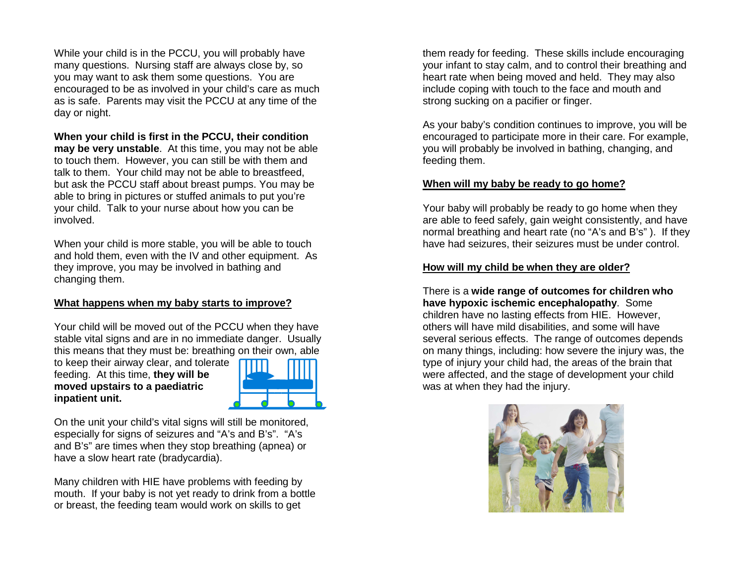While your child is in the PCCU, you will probably have many questions. Nursing staff are always close by, so you may want to ask them some questions. You are encouraged to be as involved in your child's care as much as is safe. Parents may visit the PCCU at any time of the day or night.

# **When your child is first in the PCCU, their condition**

 **may be very unstable**. At this time, you may not be able to touch them. However, you can still be with them and talk to them. Your child may not be able to breastfeed, but ask the PCCU staff about breast pumps. You may be able to bring in pictures or stuffed animals to put you're your child. Talk to your nurse about how you can be involved.

When your child is more stable, you will be able to touch and hold them, even with the IV and other equipment. As they improve, you may be involved in bathing and changing them.

#### **What happens when my baby starts to improve?**

Your child will be moved out of the PCCU when they have stable vital signs and are in no immediate danger. Usually this means that they must be: breathing on their own, able

to keep their airway clear, and tolerate feeding. At this time, **they will be moved upstairs to a paediatric inpatient unit.** 



On the unit your child's vital signs will still be monitored, especially for signs of seizures and "A's and B's". "A's and B's" are times when they stop breathing (apnea) or have a slow heart rate (bradycardia).

Many children with HIE have problems with feeding by mouth. If your baby is not yet ready to drink from a bottle or breast, the feeding team would work on skills to get

them ready for feeding. These skills include encouraging your infant to stay calm, and to control their breathing andheart rate when being moved and held. They may also include coping with touch to the face and mouth andstrong sucking on a pacifier or finger.

As your baby's condition continues to improve, you will be encouraged to participate more in their care. For example, you will probably be involved in bathing, changing, and feeding them.

#### **When will my baby be ready to go home?**

Your baby will probably be ready to go home when they are able to feed safely, gain weight consistently, and have normal breathing and heart rate (no "A's and B's" ). If they have had seizures, their seizures must be under control.

#### **How will my child be when they are older?**

There is a **wide range of outcomes for children who have hypoxic ischemic encephalopathy**. Some children have no lasting effects from HIE. However, others will have mild disabilities, and some will have several serious effects. The range of outcomes depends on many things, including: how severe the injury was, the type of injury your child had, the areas of the brain that were affected, and the stage of development your child was at when they had the injury.

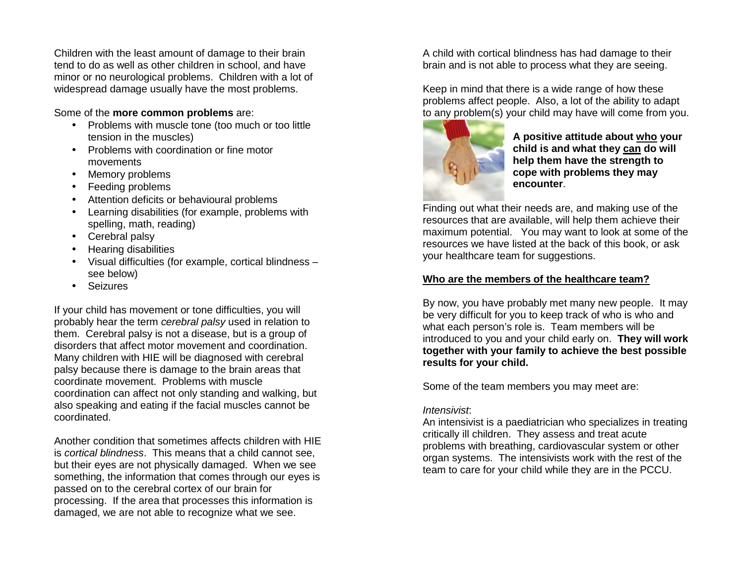Children with the least amount of damage to their brain tend to do as well as other children in school, and have minor or no neurological problems. Children with a lot of widespread damage usually have the most problems.

#### Some of the **more common problems** are:

- Problems with muscle tone (too much or too little tension in the muscles)
- Problems with coordination or fine motor movements
- Memory problems
- Feeding problems
- Attention deficits or behavioural problems
- Learning disabilities (for example, problems with spelling, math, reading)
- Cerebral palsy
- Hearing disabilities
- Visual difficulties (for example, cortical blindness see below)
- Seizures

If your child has movement or tone difficulties, you will probably hear the term cerebral palsy used in relation to them. Cerebral palsy is not a disease, but is a group of disorders that affect motor movement and coordination. Many children with HIE will be diagnosed with cerebral palsy because there is damage to the brain areas that coordinate movement. Problems with muscle coordination can affect not only standing and walking, but also speaking and eating if the facial muscles cannot be coordinated.

Another condition that sometimes affects children with HIE is cortical blindness. This means that a child cannot see, but their eyes are not physically damaged. When we see something, the information that comes through our eyes is passed on to the cerebral cortex of our brain for processing. If the area that processes this information is damaged, we are not able to recognize what we see.

A child with cortical blindness has had damage to their brain and is not able to process what they are seeing.

Keep in mind that there is a wide range of how these problems affect people. Also, a lot of the ability to adapt to any problem(s) your child may have will come from you.



**A positive attitude about who your child is and what they can do will help them have the strength to cope with problems they may encounter**.

Finding out what their needs are, and making use of the resources that are available, will help them achieve their maximum potential. You may want to look at some of the resources we have listed at the back of this book, or ask your healthcare team for suggestions.

# **Who are the members of the healthcare team?**

By now, you have probably met many new people. It may be very difficult for you to keep track of who is who and what each person's role is. Team members will be introduced to you and your child early on. **They will work together with your family to achieve the best possible results for your child.** 

Some of the team members you may meet are:

# Intensivist:

 An intensivist is a paediatrician who specializes in treating critically ill children. They assess and treat acute problems with breathing, cardiovascular system or other organ systems. The intensivists work with the rest of the team to care for your child while they are in the PCCU.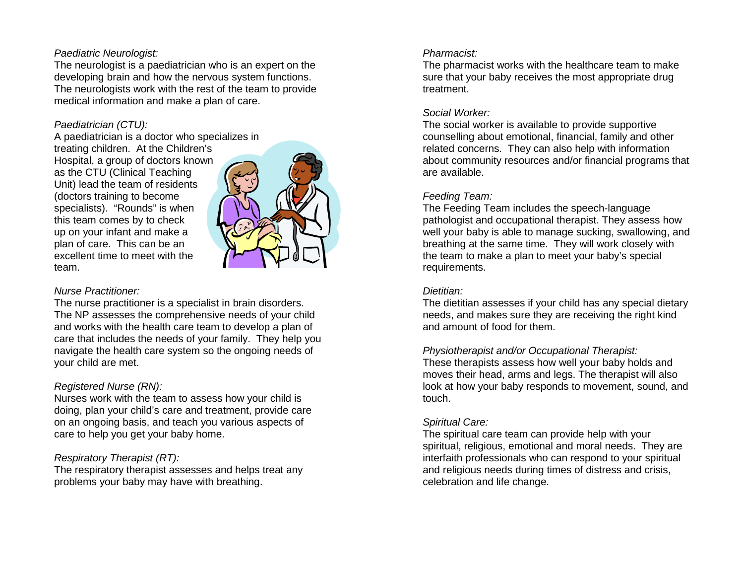#### Paediatric Neurologist:

 The neurologist is a paediatrician who is an expert on the developing brain and how the nervous system functions. The neurologists work with the rest of the team to provide medical information and make a plan of care.

#### Paediatrician (CTU):

 A paediatrician is a doctor who specializes in treating children. At the Children's Hospital, a group of doctors known as the CTU (Clinical Teaching Unit) lead the team of residents (doctors training to become specialists). "Rounds" is when this team comes by to check up on your infant and make a plan of care. This can be an excellent time to meet with the team.



#### Nurse Practitioner:

 The nurse practitioner is a specialist in brain disorders. The NP assesses the comprehensive needs of your child and works with the health care team to develop a plan of care that includes the needs of your family. They help you navigate the health care system so the ongoing needs of your child are met.

# Registered Nurse (RN):

 Nurses work with the team to assess how your child is doing, plan your child's care and treatment, provide care on an ongoing basis, and teach you various aspects of care to help you get your baby home.

# Respiratory Therapist (RT):

 The respiratory therapist assesses and helps treat any problems your baby may have with breathing.

#### Pharmacist:

 The pharmacist works with the healthcare team to make sure that your baby receives the most appropriate drug treatment.

#### Social Worker:

 The social worker is available to provide supportive counselling about emotional, financial, family and other related concerns. They can also help with information about community resources and/or financial programs that are available.

# Feeding Team:

 The Feeding Team includes the speech-language pathologist and occupational therapist. They assess how well your baby is able to manage sucking, swallowing, and breathing at the same time. They will work closely with the team to make a plan to meet your baby's specialrequirements.

# Dietitian:

 The dietitian assesses if your child has any special dietary needs, and makes sure they are receiving the right kind and amount of food for them.

# Physiotherapist and/or Occupational Therapist:

 These therapists assess how well your baby holds and moves their head, arms and legs. The therapist will also look at how your baby responds to movement, sound, and touch.

# Spiritual Care:

 The spiritual care team can provide help with your spiritual, religious, emotional and moral needs. They are interfaith professionals who can respond to your spiritual and religious needs during times of distress and crisis, celebration and life change.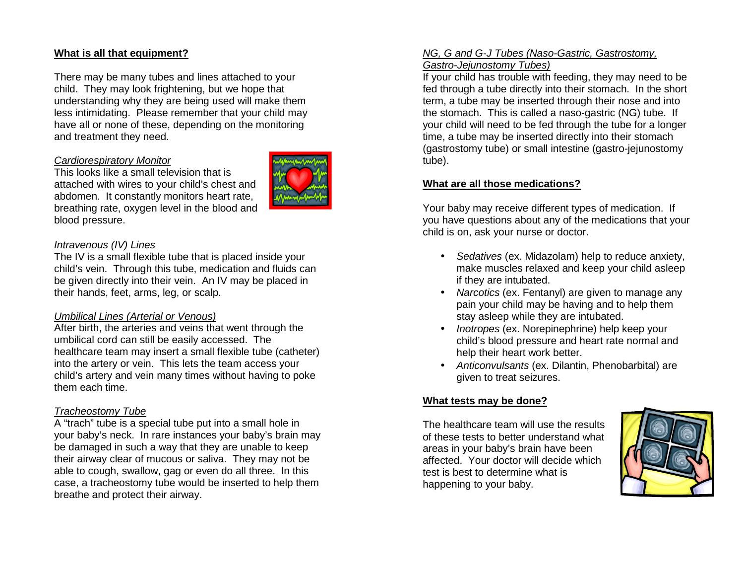# **What is all that equipment?**

There may be many tubes and lines attached to your child. They may look frightening, but we hope that understanding why they are being used will make them less intimidating. Please remember that your child may have all or none of these, depending on the monitoring and treatment they need.

#### Cardiorespiratory Monitor

 This looks like a small television that is attached with wires to your child's chest and abdomen. It constantly monitors heart rate, breathing rate, oxygen level in the blood and blood pressure.



#### Intravenous (IV) Lines

 The IV is a small flexible tube that is placed inside your child's vein. Through this tube, medication and fluids can be given directly into their vein. An IV may be placed in their hands, feet, arms, leg, or scalp.

#### Umbilical Lines (Arterial or Venous)

 After birth, the arteries and veins that went through the umbilical cord can still be easily accessed. The healthcare team may insert a small flexible tube (catheter) into the artery or vein. This lets the team access your child's artery and vein many times without having to poke them each time.

#### Tracheostomy Tube

 A "trach" tube is a special tube put into a small hole in your baby's neck. In rare instances your baby's brain may be damaged in such a way that they are unable to keep their airway clear of mucous or saliva. They may not be able to cough, swallow, gag or even do all three. In this case, a tracheostomy tube would be inserted to help them breathe and protect their airway.

#### NG, G and G-J Tubes (Naso-Gastric, Gastrostomy, Gastro-Jejunostomy Tubes)

 If your child has trouble with feeding, they may need to be fed through a tube directly into their stomach. In the short term, a tube may be inserted through their nose and into the stomach. This is called a naso-gastric (NG) tube. If your child will need to be fed through the tube for a longer time, a tube may be inserted directly into their stomach (gastrostomy tube) or small intestine (gastro-jejunostomy tube).

#### **What are all those medications?**

Your baby may receive different types of medication. If you have questions about any of the medications that your child is on, ask your nurse or doctor.

- Sedatives (ex. Midazolam) help to reduce anxiety, make muscles relaxed and keep your child asleep if they are intubated.
- Narcotics (ex. Fentanyl) are given to manage any pain your child may be having and to help them stay asleep while they are intubated.
- Inotropes (ex. Norepinephrine) help keep your child's blood pressure and heart rate normal and help their heart work better.
- Anticonvulsants (ex. Dilantin, Phenobarbital) are given to treat seizures.

#### **What tests may be done?**

The healthcare team will use the results of these tests to better understand what areas in your baby's brain have been affected. Your doctor will decide which test is best to determine what is happening to your baby.

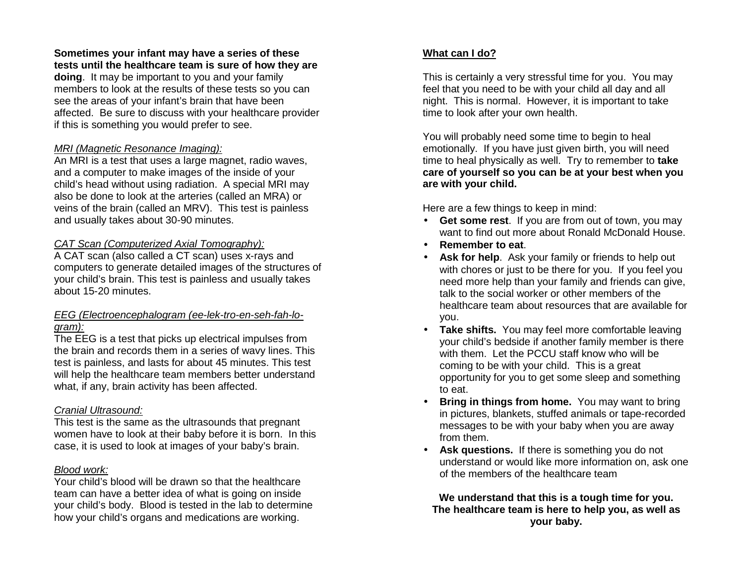# **Sometimes your infant may have a series of these tests until the healthcare team is sure of how they are**

**doing**. It may be important to you and your family members to look at the results of these tests so you can see the areas of your infant's brain that have been affected. Be sure to discuss with your healthcare provider if this is something you would prefer to see.

# MRI (Magnetic Resonance Imaging):

 An MRI is a test that uses a large magnet, radio waves, and a computer to make images of the inside of your child's head without using radiation. A special MRI may also be done to look at the arteries (called an MRA) or veins of the brain (called an MRV). This test is painless and usually takes about 30-90 minutes.

#### CAT Scan (Computerized Axial Tomography):

 A CAT scan (also called a CT scan) uses x-rays and computers to generate detailed images of the structures of your child's brain. This test is painless and usually takes about 15-20 minutes.

#### EEG (Electroencephalogram (ee-lek-tro-en-seh-fah-logram):

The EEG is a test that picks up electrical impulses from the brain and records them in a series of wavy lines. This test is painless, and lasts for about 45 minutes. This test will help the healthcare team members better understand what, if any, brain activity has been affected.

# Cranial Ultrasound:

 This test is the same as the ultrasounds that pregnant women have to look at their baby before it is born. In this case, it is used to look at images of your baby's brain.

# Blood work:

 Your child's blood will be drawn so that the healthcare team can have a better idea of what is going on inside your child's body. Blood is tested in the lab to determine how your child's organs and medications are working.

# **What can I do?**

This is certainly a very stressful time for you. You may feel that you need to be with your child all day and all night. This is normal. However, it is important to take time to look after your own health.

You will probably need some time to begin to heal emotionally. If you have just given birth, you will need time to heal physically as well. Try to remember to **take care of yourself so you can be at your best when you are with your child.**

Here are a few things to keep in mind:

- **Get some rest**. If you are from out of town, you may want to find out more about Ronald McDonald House.
- **Remember to eat**.
- **Ask for help**. Ask your family or friends to help out with chores or just to be there for you. If you feel you need more help than your family and friends can give, talk to the social worker or other members of the healthcare team about resources that are available for you.
- **Take shifts.** You may feel more comfortable leaving your child's bedside if another family member is there with them. Let the PCCU staff know who will be coming to be with your child. This is a great opportunity for you to get some sleep and somethingto eat.
- **Bring in things from home.** You may want to bring in pictures, blankets, stuffed animals or tape-recorded messages to be with your baby when you are away from them.
- **Ask questions.** If there is something you do not understand or would like more information on, ask one of the members of the healthcare team

**We understand that this is a tough time for you. The healthcare team is here to help you, as well asyour baby.**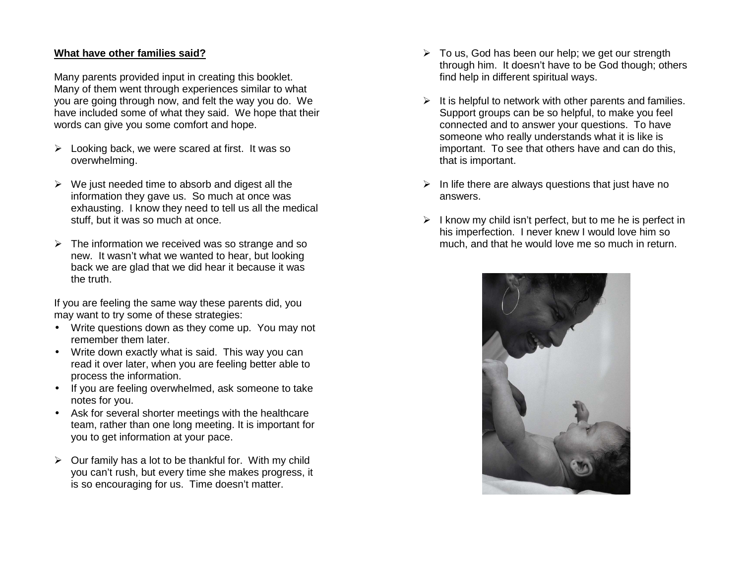#### **What have other families said?**

Many parents provided input in creating this booklet. Many of them went through experiences similar to what you are going through now, and felt the way you do. We have included some of what they said. We hope that their words can give you some comfort and hope.

- $\triangleright$  Looking back, we were scared at first. It was so overwhelming.
- $\triangleright$  We just needed time to absorb and digest all the information they gave us. So much at once was exhausting. I know they need to tell us all the medical stuff, but it was so much at once.
- $\triangleright$  The information we received was so strange and so new. It wasn't what we wanted to hear, but looking back we are glad that we did hear it because it wasthe truth.

If you are feeling the same way these parents did, you may want to try some of these strategies:

- Write questions down as they come up. You may notremember them later.
- Write down exactly what is said. This way you can read it over later, when you are feeling better able to process the information.
- If you are feeling overwhelmed, ask someone to take notes for you.
- Ask for several shorter meetings with the healthcare team, rather than one long meeting. It is important for you to get information at your pace.
- $\triangleright$  Our family has a lot to be thankful for. With my child you can't rush, but every time she makes progress, it is so encouraging for us. Time doesn't matter.
- $\triangleright$  To us, God has been our help; we get our strength through him. It doesn't have to be God though; others find help in different spiritual ways.
- $\triangleright$  It is helpful to network with other parents and families. Support groups can be so helpful, to make you feel connected and to answer your questions. To have someone who really understands what it is like is important. To see that others have and can do this, that is important.
- $\triangleright$  In life there are always questions that just have no answers.
- $\triangleright$  I know my child isn't perfect, but to me he is perfect in his imperfection. I never knew I would love him somuch, and that he would love me so much in return.

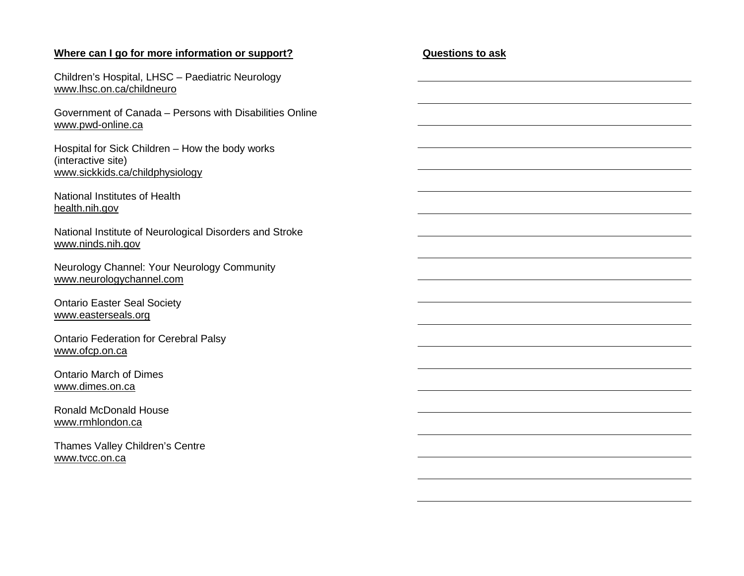#### **Where can I go for more information or support?**

Children's Hospital, LHSC – Paediatric Neurology www.lhsc.on.ca/childneuro

Government of Canada – Persons with Disabilities Online www.pwd-online.ca

Hospital for Sick Children – How the body works (interactive site) www.sickkids.ca/childphysiology

National Institutes of Health health.nih.gov

National Institute of Neurological Disorders and Stroke www.ninds.nih.gov

Neurology Channel: Your Neurology Community www.neurologychannel.com

Ontario Easter Seal Society www.easterseals.org

Ontario Federation for Cerebral Palsy www.ofcp.on.ca

Ontario March of Dimes www.dimes.on.ca

Ronald McDonald House www.rmhlondon.ca

Thames Valley Children's Centre www.tvcc.on.ca

#### **Questions to ask**